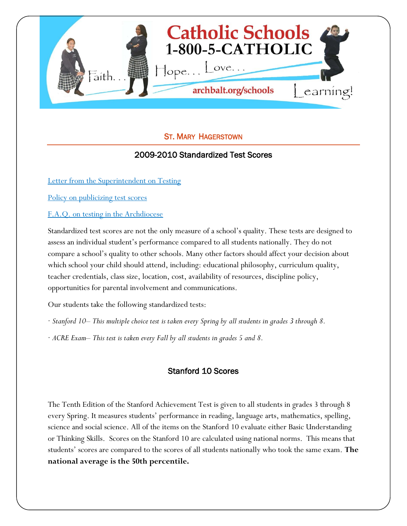

## ST. MARY HAGERSTOWN

#### 2009-2010 Standardized Test Scores

[Letter from the Superintendent on Testing](http://www.archbalt.org/schools/standardized-tests/index.cfm)

[Policy on publicizing test scores](http://www.archbalt.org/schools/standardized-tests/scores.cfm)

[F.A.Q. on testing in the Archdiocese](http://www.archbalt.org/schools/standardized-tests/faqs.cfm)

Standardized test scores are not the only measure of a school's quality. These tests are designed to assess an individual student's performance compared to all students nationally. They do not compare a school's quality to other schools. Many other factors should affect your decision about which school your child should attend, including: educational philosophy, curriculum quality, teacher credentials, class size, location, cost, availability of resources, discipline policy, opportunities for parental involvement and communications.

Our students take the following standardized tests:

- · *Stanford 10– This multiple choice test is taken every Spring by all students in grades 3 through 8.*
- · *ACRE Exam– This test is taken every Fall by all students in grades 5 and 8.*

#### Stanford 10 Scores

The Tenth Edition of the Stanford Achievement Test is given to all students in grades 3 through 8 every Spring. It measures students' performance in reading, language arts, mathematics, spelling, science and social science. All of the items on the Stanford 10 evaluate either Basic Understanding or Thinking Skills. Scores on the Stanford 10 are calculated using national norms. This means that students' scores are compared to the scores of all students nationally who took the same exam. **The national average is the 50th percentile.**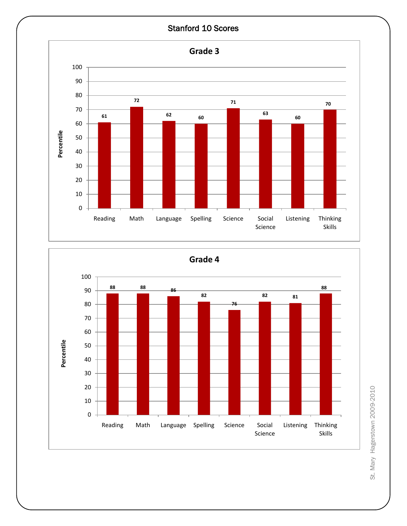# Stanford 10 Scores





St. Mary Hagerstown 2009-2010 St. Mary Hagerstown 2009-2010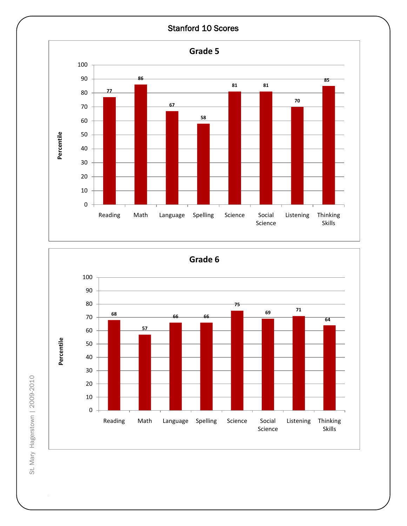# Stanford 10 Scores





St. Mary Hagerstown | 2009-2010 St. Mary Hagerstown | 2009-2010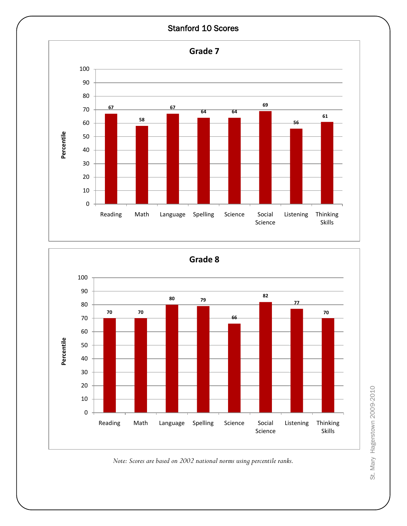



*Note: Scores are based on 2002 national norms using percentile ranks.*

St. Mary Hagerstown 2009-2010 St. Mary Hagerstown 2009-2010